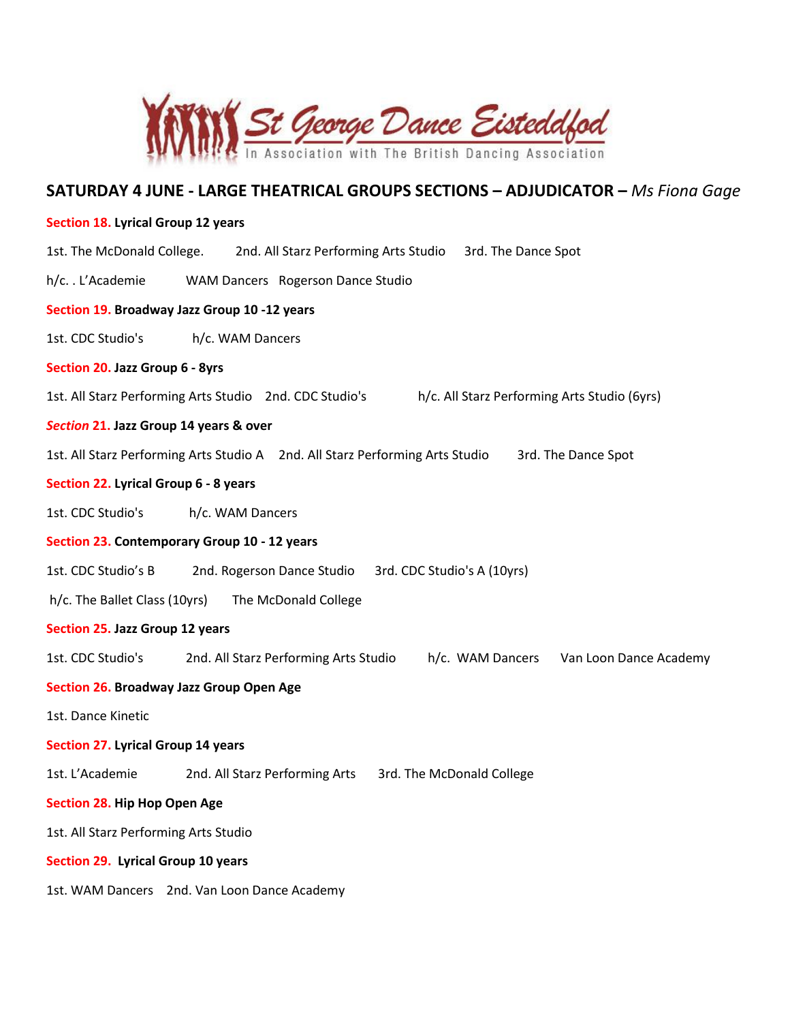

# **SATURDAY 4 JUNE - LARGE THEATRICAL GROUPS SECTIONS – ADJUDICATOR –** *Ms Fiona Gage*

## **Section 18. Lyrical Group 12 years**

| 1st. The McDonald College.                            | 2nd. All Starz Performing Arts Studio<br>3rd. The Dance Spot                                            |
|-------------------------------------------------------|---------------------------------------------------------------------------------------------------------|
| h/cL'Academie                                         | WAM Dancers Rogerson Dance Studio                                                                       |
| Section 19. Broadway Jazz Group 10 -12 years          |                                                                                                         |
| 1st. CDC Studio's                                     | h/c. WAM Dancers                                                                                        |
| Section 20. Jazz Group 6 - 8yrs                       |                                                                                                         |
|                                                       | 1st. All Starz Performing Arts Studio 2nd. CDC Studio's<br>h/c. All Starz Performing Arts Studio (6yrs) |
| Section 21. Jazz Group 14 years & over                |                                                                                                         |
|                                                       | 1st. All Starz Performing Arts Studio A 2nd. All Starz Performing Arts Studio<br>3rd. The Dance Spot    |
| Section 22. Lyrical Group 6 - 8 years                 |                                                                                                         |
| 1st. CDC Studio's                                     | h/c. WAM Dancers                                                                                        |
| Section 23. Contemporary Group 10 - 12 years          |                                                                                                         |
| 1st. CDC Studio's B                                   | 2nd. Rogerson Dance Studio<br>3rd. CDC Studio's A (10yrs)                                               |
| h/c. The Ballet Class (10yrs)<br>The McDonald College |                                                                                                         |
| Section 25. Jazz Group 12 years                       |                                                                                                         |
| 1st. CDC Studio's                                     | 2nd. All Starz Performing Arts Studio<br>h/c. WAM Dancers<br>Van Loon Dance Academy                     |
| Section 26. Broadway Jazz Group Open Age              |                                                                                                         |
| 1st. Dance Kinetic                                    |                                                                                                         |
| <b>Section 27. Lyrical Group 14 years</b>             |                                                                                                         |
| 1st. L'Academie                                       | 2nd. All Starz Performing Arts<br>3rd. The McDonald College                                             |
| Section 28. Hip Hop Open Age                          |                                                                                                         |
| 1st. All Starz Performing Arts Studio                 |                                                                                                         |
| Section 29. Lyrical Group 10 years                    |                                                                                                         |
|                                                       | 1st. WAM Dancers 2nd. Van Loon Dance Academy                                                            |
|                                                       |                                                                                                         |